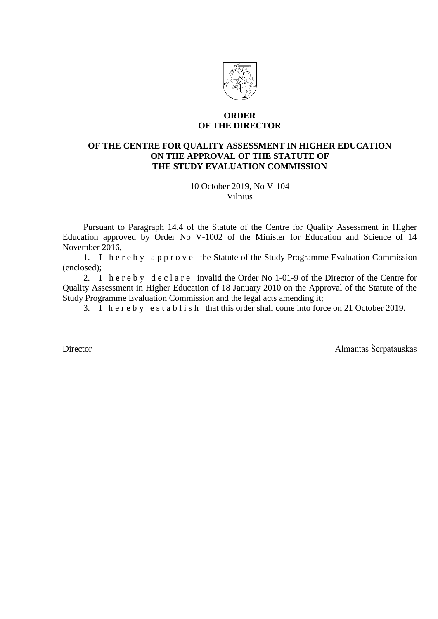

### **ORDER OF THE DIRECTOR**

# **OF THE CENTRE FOR QUALITY ASSESSMENT IN HIGHER EDUCATION ON THE APPROVAL OF THE STATUTE OF THE STUDY EVALUATION COMMISSION**

10 October 2019, No V-104 Vilnius

Pursuant to Paragraph 14.4 of the Statute of the Centre for Quality Assessment in Higher Education approved by Order No V-1002 of the Minister for Education and Science of 14 November 2016,

1. I h e r e b y a p p r o v e the Statute of the Study Programme Evaluation Commission (enclosed);

2. I h e r e b y d e c l a r e invalid the Order No 1-01-9 of the Director of the Centre for Quality Assessment in Higher Education of 18 January 2010 on the Approval of the Statute of the Study Programme Evaluation Commission and the legal acts amending it;

3. I h e r e b y e s t a b l i s h that this order shall come into force on 21 October 2019.

Director Almantas Šerpatauskas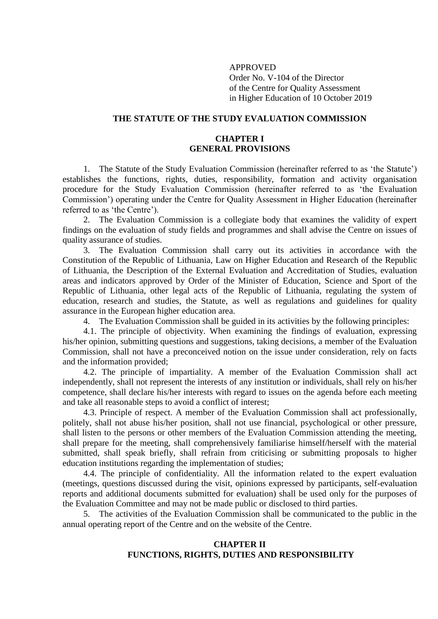APPROVED Order No. V-104 of the Director of the Centre for Quality Assessment in Higher Education of 10 October 2019

## **THE STATUTE OF THE STUDY EVALUATION COMMISSION**

### **CHAPTER I GENERAL PROVISIONS**

1. The Statute of the Study Evaluation Commission (hereinafter referred to as 'the Statute') establishes the functions, rights, duties, responsibility, formation and activity organisation procedure for the Study Evaluation Commission (hereinafter referred to as 'the Evaluation Commission') operating under the Centre for Quality Assessment in Higher Education (hereinafter referred to as 'the Centre').

2. The Evaluation Commission is a collegiate body that examines the validity of expert findings on the evaluation of study fields and programmes and shall advise the Centre on issues of quality assurance of studies.

3. The Evaluation Commission shall carry out its activities in accordance with the Constitution of the Republic of Lithuania, Law on Higher Education and Research of the Republic of Lithuania, the Description of the External Evaluation and Accreditation of Studies, evaluation areas and indicators approved by Order of the Minister of Education, Science and Sport of the Republic of Lithuania, other legal acts of the Republic of Lithuania, regulating the system of education, research and studies, the Statute, as well as regulations and guidelines for quality assurance in the European higher education area.

4. The Evaluation Commission shall be guided in its activities by the following principles:

4.1. The principle of objectivity. When examining the findings of evaluation, expressing his/her opinion, submitting questions and suggestions, taking decisions, a member of the Evaluation Commission, shall not have a preconceived notion on the issue under consideration, rely on facts and the information provided;

4.2. The principle of impartiality. A member of the Evaluation Commission shall act independently, shall not represent the interests of any institution or individuals, shall rely on his/her competence, shall declare his/her interests with regard to issues on the agenda before each meeting and take all reasonable steps to avoid a conflict of interest;

4.3. Principle of respect. A member of the Evaluation Commission shall act professionally, politely, shall not abuse his/her position, shall not use financial, psychological or other pressure, shall listen to the persons or other members of the Evaluation Commission attending the meeting, shall prepare for the meeting, shall comprehensively familiarise himself/herself with the material submitted, shall speak briefly, shall refrain from criticising or submitting proposals to higher education institutions regarding the implementation of studies;

4.4. The principle of confidentiality. All the information related to the expert evaluation (meetings, questions discussed during the visit, opinions expressed by participants, self-evaluation reports and additional documents submitted for evaluation) shall be used only for the purposes of the Evaluation Committee and may not be made public or disclosed to third parties.

5. The activities of the Evaluation Commission shall be communicated to the public in the annual operating report of the Centre and on the website of the Centre.

# **CHAPTER II FUNCTIONS, RIGHTS, DUTIES AND RESPONSIBILITY**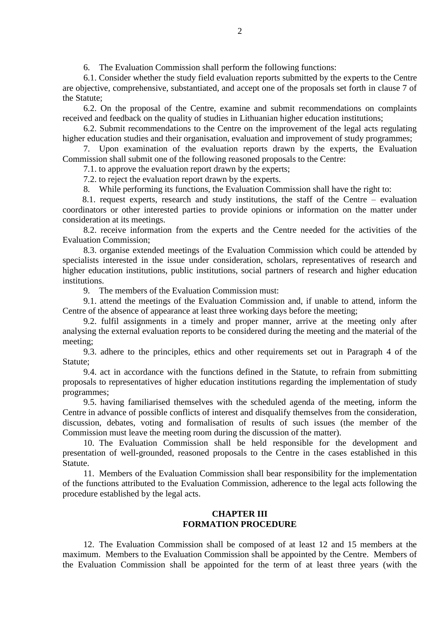6. The Evaluation Commission shall perform the following functions:

6.1. Consider whether the study field evaluation reports submitted by the experts to the Centre are objective, comprehensive, substantiated, and accept one of the proposals set forth in clause 7 of the Statute;

6.2. On the proposal of the Centre, examine and submit recommendations on complaints received and feedback on the quality of studies in Lithuanian higher education institutions;

6.2. Submit recommendations to the Centre on the improvement of the legal acts regulating higher education studies and their organisation, evaluation and improvement of study programmes;

7. Upon examination of the evaluation reports drawn by the experts, the Evaluation Commission shall submit one of the following reasoned proposals to the Centre:

7.1. to approve the evaluation report drawn by the experts;

7.2. to reject the evaluation report drawn by the experts.

8. While performing its functions, the Evaluation Commission shall have the right to:

8.1. request experts, research and study institutions, the staff of the Centre – evaluation coordinators or other interested parties to provide opinions or information on the matter under consideration at its meetings.

8.2. receive information from the experts and the Centre needed for the activities of the Evaluation Commission;

8.3. organise extended meetings of the Evaluation Commission which could be attended by specialists interested in the issue under consideration, scholars, representatives of research and higher education institutions, public institutions, social partners of research and higher education institutions.

9. The members of the Evaluation Commission must:

9.1. attend the meetings of the Evaluation Commission and, if unable to attend, inform the Centre of the absence of appearance at least three working days before the meeting;

9.2. fulfil assignments in a timely and proper manner, arrive at the meeting only after analysing the external evaluation reports to be considered during the meeting and the material of the meeting;

9.3. adhere to the principles, ethics and other requirements set out in Paragraph 4 of the Statute;

9.4. act in accordance with the functions defined in the Statute, to refrain from submitting proposals to representatives of higher education institutions regarding the implementation of study programmes;

9.5. having familiarised themselves with the scheduled agenda of the meeting, inform the Centre in advance of possible conflicts of interest and disqualify themselves from the consideration, discussion, debates, voting and formalisation of results of such issues (the member of the Commission must leave the meeting room during the discussion of the matter).

10. The Evaluation Commission shall be held responsible for the development and presentation of well-grounded, reasoned proposals to the Centre in the cases established in this Statute.

11. Members of the Evaluation Commission shall bear responsibility for the implementation of the functions attributed to the Evaluation Commission, adherence to the legal acts following the procedure established by the legal acts.

# **CHAPTER III FORMATION PROCEDURE**

12. The Evaluation Commission shall be composed of at least 12 and 15 members at the maximum. Members to the Evaluation Commission shall be appointed by the Centre. Members of the Evaluation Commission shall be appointed for the term of at least three years (with the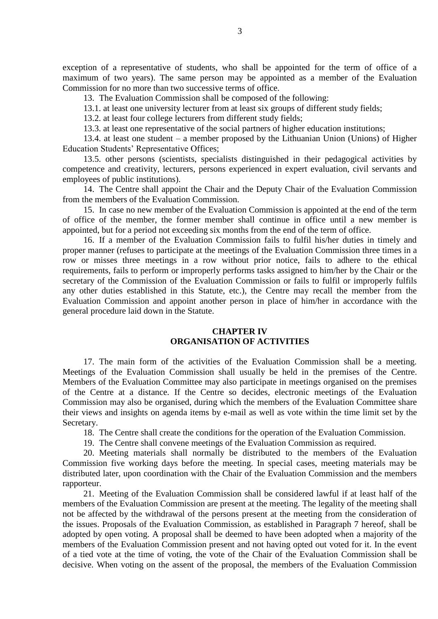exception of a representative of students, who shall be appointed for the term of office of a maximum of two years). The same person may be appointed as a member of the Evaluation Commission for no more than two successive terms of office.

13. The Evaluation Commission shall be composed of the following:

13.1. at least one university lecturer from at least six groups of different study fields;

13.2. at least four college lecturers from different study fields;

13.3. at least one representative of the social partners of higher education institutions;

13.4. at least one student – a member proposed by the Lithuanian Union (Unions) of Higher Education Students' Representative Offices;

13.5. other persons (scientists, specialists distinguished in their pedagogical activities by competence and creativity, lecturers, persons experienced in expert evaluation, civil servants and employees of public institutions).

14. The Centre shall appoint the Chair and the Deputy Chair of the Evaluation Commission from the members of the Evaluation Commission.

15. In case no new member of the Evaluation Commission is appointed at the end of the term of office of the member, the former member shall continue in office until a new member is appointed, but for a period not exceeding six months from the end of the term of office.

16. If a member of the Evaluation Commission fails to fulfil his/her duties in timely and proper manner (refuses to participate at the meetings of the Evaluation Commission three times in a row or misses three meetings in a row without prior notice, fails to adhere to the ethical requirements, fails to perform or improperly performs tasks assigned to him/her by the Chair or the secretary of the Commission of the Evaluation Commission or fails to fulfil or improperly fulfils any other duties established in this Statute, etc.), the Centre may recall the member from the Evaluation Commission and appoint another person in place of him/her in accordance with the general procedure laid down in the Statute.

#### **CHAPTER IV ORGANISATION OF ACTIVITIES**

17. The main form of the activities of the Evaluation Commission shall be a meeting. Meetings of the Evaluation Commission shall usually be held in the premises of the Centre. Members of the Evaluation Committee may also participate in meetings organised on the premises of the Centre at a distance. If the Centre so decides, electronic meetings of the Evaluation Commission may also be organised, during which the members of the Evaluation Committee share their views and insights on agenda items by e-mail as well as vote within the time limit set by the Secretary.

18. The Centre shall create the conditions for the operation of the Evaluation Commission.

19. The Centre shall convene meetings of the Evaluation Commission as required.

20. Meeting materials shall normally be distributed to the members of the Evaluation Commission five working days before the meeting. In special cases, meeting materials may be distributed later, upon coordination with the Chair of the Evaluation Commission and the members rapporteur.

21. Meeting of the Evaluation Commission shall be considered lawful if at least half of the members of the Evaluation Commission are present at the meeting. The legality of the meeting shall not be affected by the withdrawal of the persons present at the meeting from the consideration of the issues. Proposals of the Evaluation Commission, as established in Paragraph 7 hereof, shall be adopted by open voting. A proposal shall be deemed to have been adopted when a majority of the members of the Evaluation Commission present and not having opted out voted for it. In the event of a tied vote at the time of voting, the vote of the Chair of the Evaluation Commission shall be decisive. When voting on the assent of the proposal, the members of the Evaluation Commission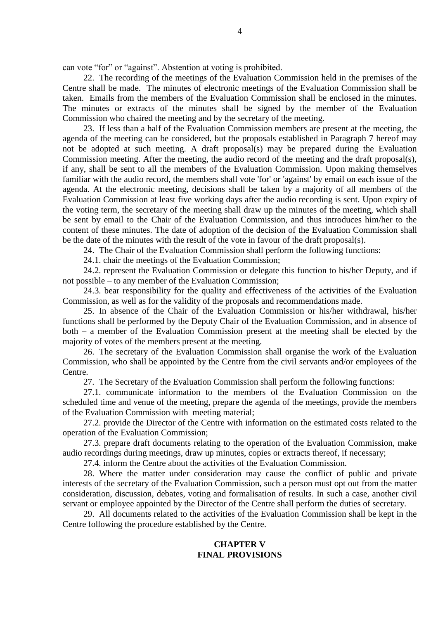can vote "for" or "against". Abstention at voting is prohibited.

22. The recording of the meetings of the Evaluation Commission held in the premises of the Centre shall be made. The minutes of electronic meetings of the Evaluation Commission shall be taken. Emails from the members of the Evaluation Commission shall be enclosed in the minutes. The minutes or extracts of the minutes shall be signed by the member of the Evaluation Commission who chaired the meeting and by the secretary of the meeting.

23. If less than a half of the Evaluation Commission members are present at the meeting, the agenda of the meeting can be considered, but the proposals established in Paragraph 7 hereof may not be adopted at such meeting. A draft proposal(s) may be prepared during the Evaluation Commission meeting. After the meeting, the audio record of the meeting and the draft proposal(s), if any, shall be sent to all the members of the Evaluation Commission. Upon making themselves familiar with the audio record, the members shall vote 'for' or 'against' by email on each issue of the agenda. At the electronic meeting, decisions shall be taken by a majority of all members of the Evaluation Commission at least five working days after the audio recording is sent. Upon expiry of the voting term, the secretary of the meeting shall draw up the minutes of the meeting, which shall be sent by email to the Chair of the Evaluation Commission, and thus introduces him/her to the content of these minutes. The date of adoption of the decision of the Evaluation Commission shall be the date of the minutes with the result of the vote in favour of the draft proposal(s).

24. The Chair of the Evaluation Commission shall perform the following functions:

24.1. chair the meetings of the Evaluation Commission;

24.2. represent the Evaluation Commission or delegate this function to his/her Deputy, and if not possible – to any member of the Evaluation Commission;

24.3. bear responsibility for the quality and effectiveness of the activities of the Evaluation Commission, as well as for the validity of the proposals and recommendations made.

25. In absence of the Chair of the Evaluation Commission or his/her withdrawal, his/her functions shall be performed by the Deputy Chair of the Evaluation Commission, and in absence of both – a member of the Evaluation Commission present at the meeting shall be elected by the majority of votes of the members present at the meeting.

26. The secretary of the Evaluation Commission shall organise the work of the Evaluation Commission, who shall be appointed by the Centre from the civil servants and/or employees of the Centre.

27. The Secretary of the Evaluation Commission shall perform the following functions:

27.1. communicate information to the members of the Evaluation Commission on the scheduled time and venue of the meeting, prepare the agenda of the meetings, provide the members of the Evaluation Commission with meeting material;

27.2. provide the Director of the Centre with information on the estimated costs related to the operation of the Evaluation Commission;

27.3. prepare draft documents relating to the operation of the Evaluation Commission, make audio recordings during meetings, draw up minutes, copies or extracts thereof, if necessary;

27.4. inform the Centre about the activities of the Evaluation Commission.

28. Where the matter under consideration may cause the conflict of public and private interests of the secretary of the Evaluation Commission, such a person must opt out from the matter consideration, discussion, debates, voting and formalisation of results. In such a case, another civil servant or employee appointed by the Director of the Centre shall perform the duties of secretary.

29. All documents related to the activities of the Evaluation Commission shall be kept in the Centre following the procedure established by the Centre.

## **CHAPTER V FINAL PROVISIONS**